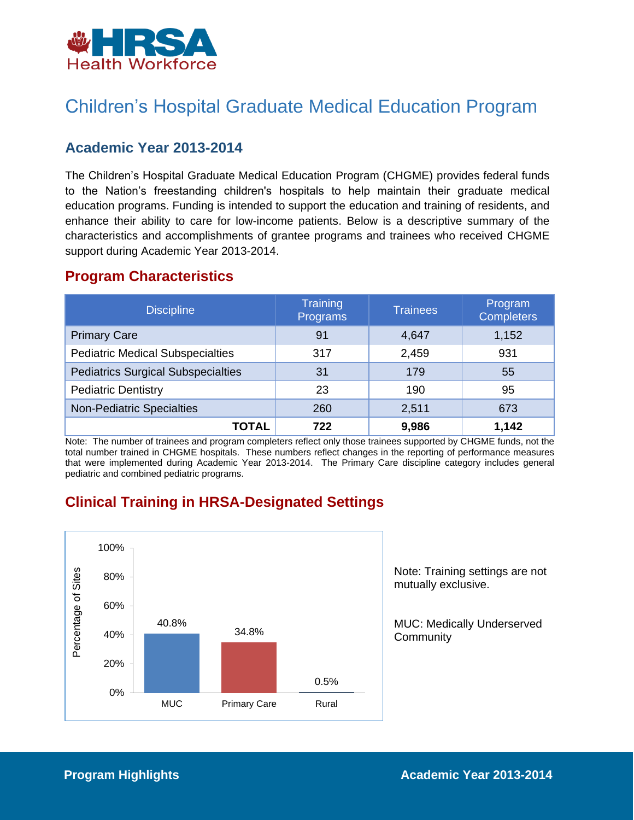

## Children's Hospital Graduate Medical Education Program

### **Academic Year 2013-2014**

 The Children's Hospital Graduate Medical Education Program (CHGME) provides federal funds education programs. Funding is intended to support the education and training of residents, and enhance their ability to care for low-income patients. Below is a descriptive summary of the characteristics and accomplishments of grantee programs and trainees who received CHGME to the Nation's freestanding children's hospitals to help maintain their graduate medical support during Academic Year 2013-2014.

#### **Program Characteristics**

| <b>Discipline</b>                         | <b>Training</b><br>Programs | Trainees | Program<br><b>Completers</b> |
|-------------------------------------------|-----------------------------|----------|------------------------------|
| <b>Primary Care</b>                       | 91                          | 4,647    | 1,152                        |
| <b>Pediatric Medical Subspecialties</b>   | 317                         | 2,459    | 931                          |
| <b>Pediatrics Surgical Subspecialties</b> | 31                          | 179      | 55                           |
| <b>Pediatric Dentistry</b>                | 23                          | 190      | 95                           |
| <b>Non-Pediatric Specialties</b>          | 260                         | 2,511    | 673                          |
| TOTAL                                     | 722                         | 9,986    | 1,142                        |

 Note: The number of trainees and program completers reflect only those trainees supported by CHGME funds, not the total number trained in CHGME hospitals. These numbers reflect changes in the reporting of performance measures that were implemented during Academic Year 2013-2014. The Primary Care discipline category includes general pediatric and combined pediatric programs.

### **Clinical Training in HRSA-Designated Settings**



Note: Training settings are not mutually exclusive.

MUC: Medically Underserved **Community**